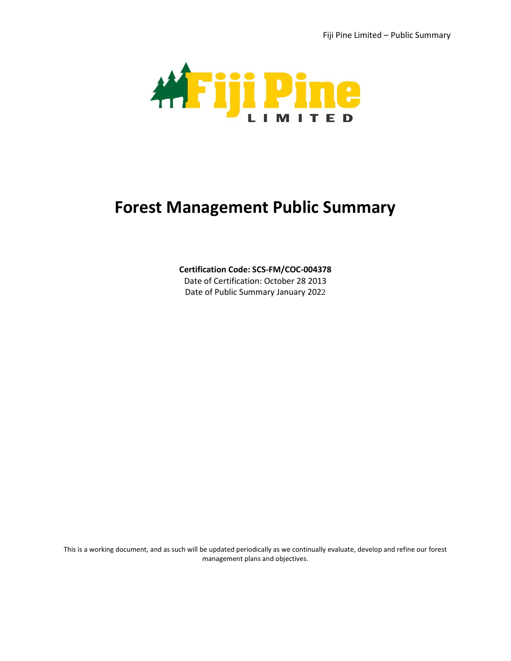

# **Forest Management Public Summary**

## **Certification Code: SCS-FM/COC-004378**

Date of Certification: October 28 2013 Date of Public Summary January 2022

This is a working document, and as such will be updated periodically as we continually evaluate, develop and refine our forest management plans and objectives.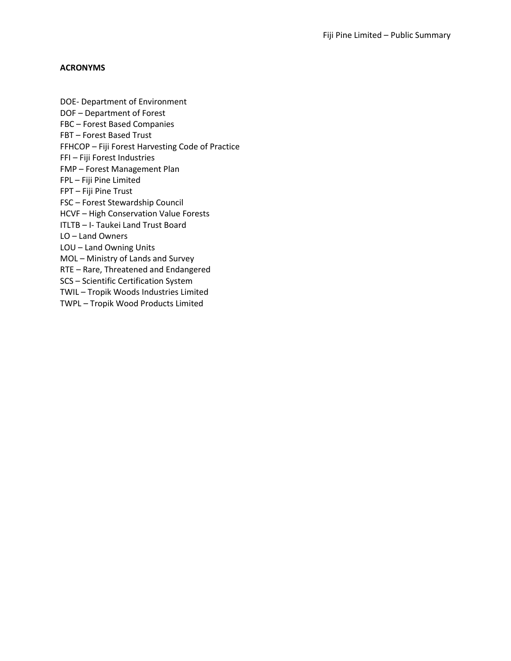## **ACRONYMS**

DOE- Department of Environment DOF – Department of Forest FBC – Forest Based Companies FBT – Forest Based Trust FFHCOP – Fiji Forest Harvesting Code of Practice FFI – Fiji Forest Industries FMP – Forest Management Plan FPL – Fiji Pine Limited FPT – Fiji Pine Trust FSC – Forest Stewardship Council HCVF – High Conservation Value Forests ITLTB – I- Taukei Land Trust Board LO – Land Owners LOU – Land Owning Units MOL – Ministry of Lands and Survey RTE – Rare, Threatened and Endangered SCS – Scientific Certification System TWIL – Tropik Woods Industries Limited TWPL – Tropik Wood Products Limited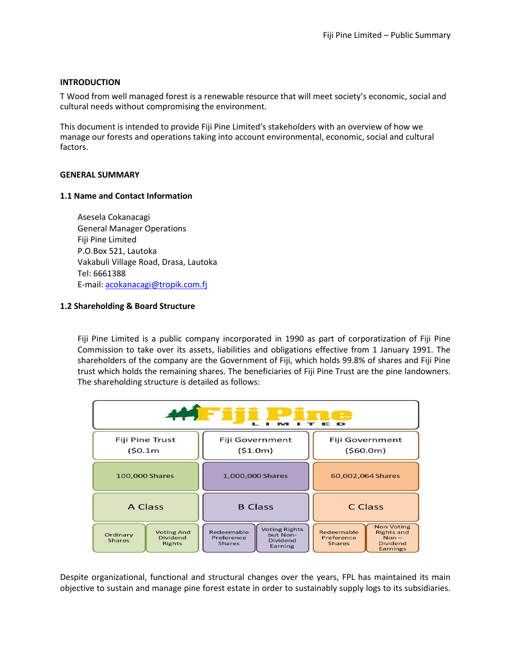## **INTRODUCTION**

T Wood from well managed forest is a renewable resource that will meet society's economic, social and cultural needs without compromising the environment.

This document is intended to provide Fiji Pine Limited's stakeholders with an overview of how we manage our forests and operations taking into account environmental, economic, social and cultural factors.

## **GENERAL SUMMARY**

## **1.1 Name and Contact Information**

Asesela Cokanacagi General Manager Operations Fiji Pine Limited P.O.Box 521, Lautoka Vakabuli Village Road, Drasa, Lautoka Tel: 6661388 E-mail: [acokanacagi@tropik.com.fj](mailto:acokanacagi@tropik.com.fj)

## **1.2 Shareholding & Board Structure**

Fiji Pine Limited is a public company incorporated in 1990 as part of corporatization of Fiji Pine Commission to take over its assets, liabilities and obligations effective from 1 January 1991. The shareholders of the company are the Government of Fiji, which holds 99.8% of shares and Fiji Pine trust which holds the remaining shares. The beneficiaries of Fiji Pine Trust are the pine landowners. The shareholding structure is detailed as follows:



Despite organizational, functional and structural changes over the years, FPL has maintained its main objective to sustain and manage pine forest estate in order to sustainably supply logs to its subsidiaries.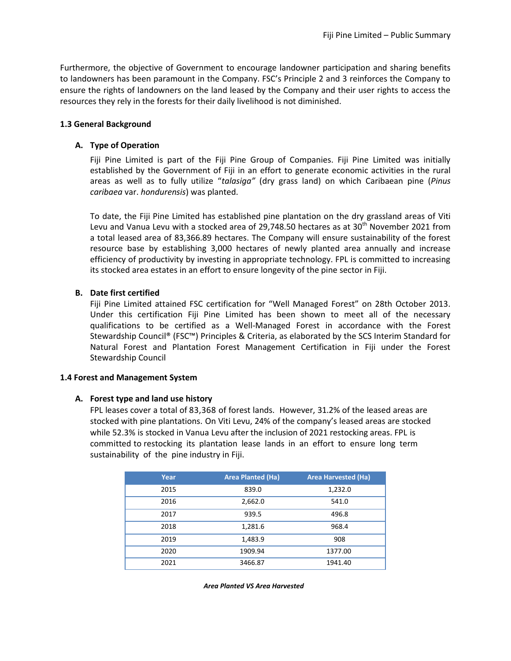Furthermore, the objective of Government to encourage landowner participation and sharing benefits to landowners has been paramount in the Company. FSC's Principle 2 and 3 reinforces the Company to ensure the rights of landowners on the land leased by the Company and their user rights to access the resources they rely in the forests for their daily livelihood is not diminished.

## **1.3 General Background**

## **A. Type of Operation**

Fiji Pine Limited is part of the Fiji Pine Group of Companies. Fiji Pine Limited was initially established by the Government of Fiji in an effort to generate economic activities in the rural areas as well as to fully utilize "*talasiga"* (dry grass land) on which Caribaean pine (*Pinus caribaea* var. *hondurensis*) was planted.

To date, the Fiji Pine Limited has established pine plantation on the dry grassland areas of Viti Levu and Vanua Levu with a stocked area of 29,748.50 hectares as at  $30<sup>th</sup>$  November 2021 from a total leased area of 83,366.89 hectares. The Company will ensure sustainability of the forest resource base by establishing 3,000 hectares of newly planted area annually and increase efficiency of productivity by investing in appropriate technology. FPL is committed to increasing its stocked area estates in an effort to ensure longevity of the pine sector in Fiji.

## **B. Date first certified**

Fiji Pine Limited attained FSC certification for "Well Managed Forest" on 28th October 2013. Under this certification Fiji Pine Limited has been shown to meet all of the necessary qualifications to be certified as a Well-Managed Forest in accordance with the Forest Stewardship Council® (FSC™) Principles & Criteria, as elaborated by the SCS Interim Standard for Natural Forest and Plantation Forest Management Certification in Fiji under the Forest Stewardship Council

## **1.4 Forest and Management System**

## **A. Forest type and land use history**

FPL leases cover a total of 83,368 of forest lands. However, 31.2% of the leased areas are stocked with pine plantations. On Viti Levu, 24% of the company's leased areas are stocked while 52.3% is stocked in Vanua Levu after the inclusion of 2021 restocking areas. FPL is committed to restocking its plantation lease lands in an effort to ensure long term sustainability of the pine industry in Fiji.

| Year | <b>Area Planted (Ha)</b> | <b>Area Harvested (Ha)</b> |  |
|------|--------------------------|----------------------------|--|
| 2015 | 839.0                    | 1,232.0                    |  |
| 2016 | 2,662.0                  | 541.0                      |  |
| 2017 | 939.5                    | 496.8                      |  |
| 2018 | 1,281.6                  | 968.4                      |  |
| 2019 | 1,483.9                  | 908                        |  |
| 2020 | 1909.94                  | 1377.00                    |  |
| 2021 | 3466.87                  | 1941.40                    |  |

*Area Planted VS Area Harvested*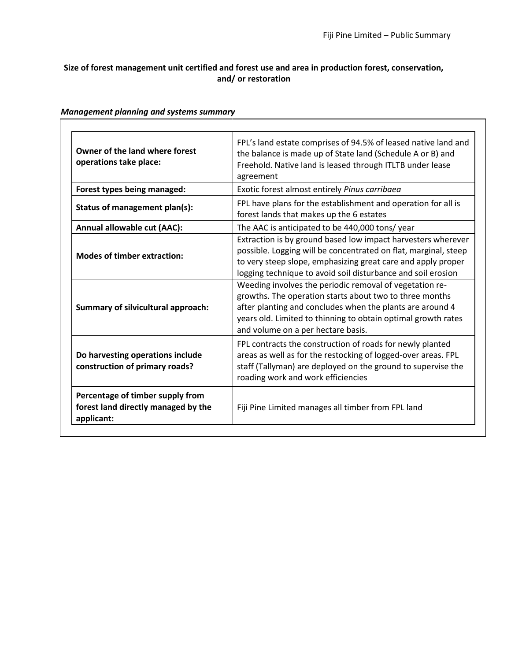# **Size of forest management unit certified and forest use and area in production forest, conservation, and/ or restoration**

| Owner of the land where forest<br>operations take place:                              | FPL's land estate comprises of 94.5% of leased native land and<br>the balance is made up of State land (Schedule A or B) and<br>Freehold. Native land is leased through ITLTB under lease<br>agreement                                                                                                                                                                                |  |
|---------------------------------------------------------------------------------------|---------------------------------------------------------------------------------------------------------------------------------------------------------------------------------------------------------------------------------------------------------------------------------------------------------------------------------------------------------------------------------------|--|
| Forest types being managed:                                                           | Exotic forest almost entirely Pinus carribaea                                                                                                                                                                                                                                                                                                                                         |  |
| Status of management plan(s):                                                         | FPL have plans for the establishment and operation for all is<br>forest lands that makes up the 6 estates                                                                                                                                                                                                                                                                             |  |
| Annual allowable cut (AAC):                                                           | The AAC is anticipated to be 440,000 tons/ year                                                                                                                                                                                                                                                                                                                                       |  |
| <b>Modes of timber extraction:</b>                                                    | Extraction is by ground based low impact harvesters wherever<br>possible. Logging will be concentrated on flat, marginal, steep<br>to very steep slope, emphasizing great care and apply proper<br>logging technique to avoid soil disturbance and soil erosion<br>Weeding involves the periodic removal of vegetation re-<br>growths. The operation starts about two to three months |  |
| Summary of silvicultural approach:                                                    | after planting and concludes when the plants are around 4<br>years old. Limited to thinning to obtain optimal growth rates<br>and volume on a per hectare basis.                                                                                                                                                                                                                      |  |
| Do harvesting operations include<br>construction of primary roads?                    | FPL contracts the construction of roads for newly planted<br>areas as well as for the restocking of logged-over areas. FPL<br>staff (Tallyman) are deployed on the ground to supervise the<br>roading work and work efficiencies                                                                                                                                                      |  |
| Percentage of timber supply from<br>forest land directly managed by the<br>applicant: | Fiji Pine Limited manages all timber from FPL land                                                                                                                                                                                                                                                                                                                                    |  |

# *Management planning and systems summary*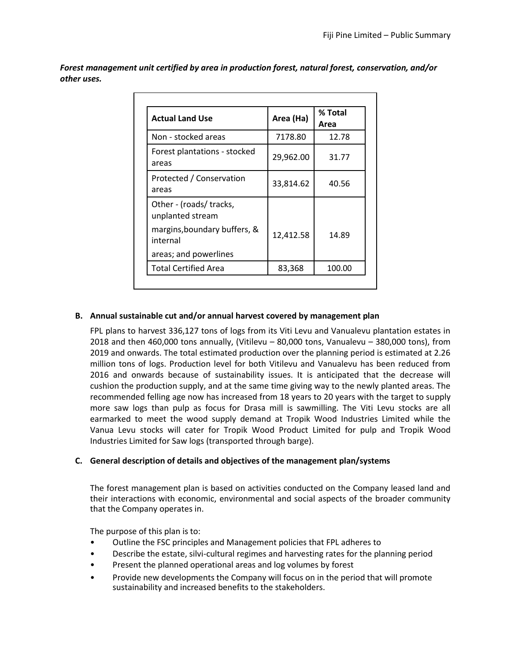*Forest management unit certified by area in production forest, natural forest, conservation, and/or other uses.*

| <b>Actual Land Use</b>                      | Area (Ha) | % Total<br>Area |
|---------------------------------------------|-----------|-----------------|
| Non - stocked areas                         | 7178.80   | 12.78           |
| Forest plantations - stocked<br>areas       | 29,962.00 | 31.77           |
| Protected / Conservation<br>areas           | 33,814.62 | 40.56           |
| Other - (roads/ tracks,<br>unplanted stream |           |                 |
| margins, boundary buffers, &<br>internal    | 12,412.58 | 14.89           |
| areas; and powerlines                       |           |                 |
| <b>Total Certified Area</b>                 | 83,368    | 100.00          |

# **B. Annual sustainable cut and/or annual harvest covered by management plan**

FPL plans to harvest 336,127 tons of logs from its Viti Levu and Vanualevu plantation estates in 2018 and then 460,000 tons annually, (Vitilevu – 80,000 tons, Vanualevu – 380,000 tons), from 2019 and onwards. The total estimated production over the planning period is estimated at 2.26 million tons of logs. Production level for both Vitilevu and Vanualevu has been reduced from 2016 and onwards because of sustainability issues. It is anticipated that the decrease will cushion the production supply, and at the same time giving way to the newly planted areas. The recommended felling age now has increased from 18 years to 20 years with the target to supply more saw logs than pulp as focus for Drasa mill is sawmilling. The Viti Levu stocks are all earmarked to meet the wood supply demand at Tropik Wood Industries Limited while the Vanua Levu stocks will cater for Tropik Wood Product Limited for pulp and Tropik Wood Industries Limited for Saw logs (transported through barge).

# **C. General description of details and objectives of the management plan/systems**

The forest management plan is based on activities conducted on the Company leased land and their interactions with economic, environmental and social aspects of the broader community that the Company operates in.

The purpose of this plan is to:

- Outline the FSC principles and Management policies that FPL adheres to
- Describe the estate, silvi-cultural regimes and harvesting rates for the planning period
- Present the planned operational areas and log volumes by forest
- Provide new developments the Company will focus on in the period that will promote sustainability and increased benefits to the stakeholders.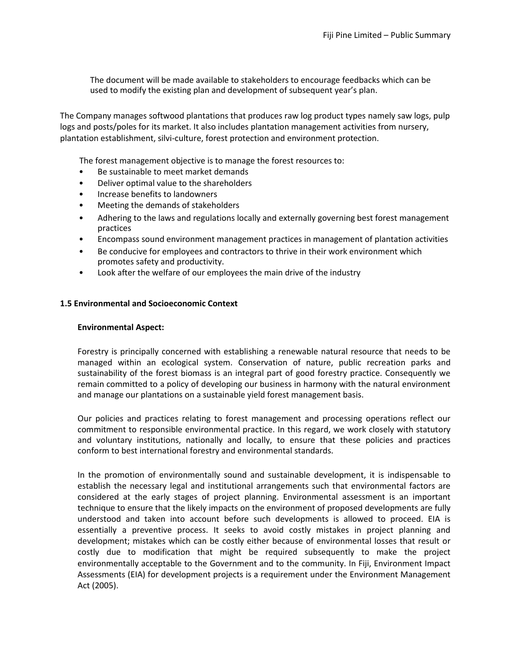The document will be made available to stakeholders to encourage feedbacks which can be used to modify the existing plan and development of subsequent year's plan.

The Company manages softwood plantations that produces raw log product types namely saw logs, pulp logs and posts/poles for its market. It also includes plantation management activities from nursery, plantation establishment, silvi-culture, forest protection and environment protection.

The forest management objective is to manage the forest resources to:

- Be sustainable to meet market demands
- Deliver optimal value to the shareholders
- Increase benefits to landowners
- Meeting the demands of stakeholders
- Adhering to the laws and regulations locally and externally governing best forest management practices
- Encompass sound environment management practices in management of plantation activities
- Be conducive for employees and contractors to thrive in their work environment which promotes safety and productivity.
- Look after the welfare of our employees the main drive of the industry

## **1.5 Environmental and Socioeconomic Context**

#### **Environmental Aspect:**

Forestry is principally concerned with establishing a renewable natural resource that needs to be managed within an ecological system. Conservation of nature, public recreation parks and sustainability of the forest biomass is an integral part of good forestry practice. Consequently we remain committed to a policy of developing our business in harmony with the natural environment and manage our plantations on a sustainable yield forest management basis.

Our policies and practices relating to forest management and processing operations reflect our commitment to responsible environmental practice. In this regard, we work closely with statutory and voluntary institutions, nationally and locally, to ensure that these policies and practices conform to best international forestry and environmental standards.

In the promotion of environmentally sound and sustainable development, it is indispensable to establish the necessary legal and institutional arrangements such that environmental factors are considered at the early stages of project planning. Environmental assessment is an important technique to ensure that the likely impacts on the environment of proposed developments are fully understood and taken into account before such developments is allowed to proceed. EIA is essentially a preventive process. It seeks to avoid costly mistakes in project planning and development; mistakes which can be costly either because of environmental losses that result or costly due to modification that might be required subsequently to make the project environmentally acceptable to the Government and to the community. In Fiji, Environment Impact Assessments (EIA) for development projects is a requirement under the Environment Management Act (2005).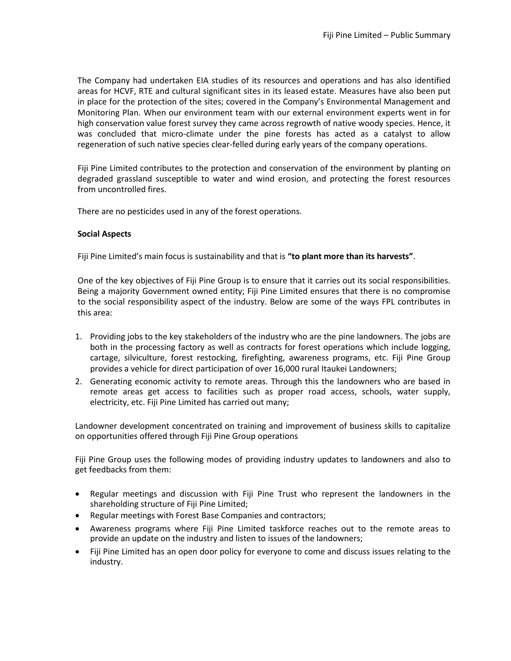The Company had undertaken EIA studies of its resources and operations and has also identified areas for HCVF, RTE and cultural significant sites in its leased estate. Measures have also been put in place for the protection of the sites; covered in the Company's Environmental Management and Monitoring Plan. When our environment team with our external environment experts went in for high conservation value forest survey they came across regrowth of native woody species. Hence, it was concluded that micro-climate under the pine forests has acted as a catalyst to allow regeneration of such native species clear-felled during early years of the company operations.

Fiji Pine Limited contributes to the protection and conservation of the environment by planting on degraded grassland susceptible to water and wind erosion, and protecting the forest resources from uncontrolled fires.

There are no pesticides used in any of the forest operations.

## **Social Aspects**

Fiji Pine Limited's main focus is sustainability and that is **"to plant more than its harvests"**.

One of the key objectives of Fiji Pine Group is to ensure that it carries out its social responsibilities. Being a majority Government owned entity; Fiji Pine Limited ensures that there is no compromise to the social responsibility aspect of the industry. Below are some of the ways FPL contributes in this area:

- 1. Providing jobs to the key stakeholders of the industry who are the pine landowners. The jobs are both in the processing factory as well as contracts for forest operations which include logging, cartage, silviculture, forest restocking, firefighting, awareness programs, etc. Fiji Pine Group provides a vehicle for direct participation of over 16,000 rural Itaukei Landowners;
- 2. Generating economic activity to remote areas. Through this the landowners who are based in remote areas get access to facilities such as proper road access, schools, water supply, electricity, etc. Fiji Pine Limited has carried out many;

Landowner development concentrated on training and improvement of business skills to capitalize on opportunities offered through Fiji Pine Group operations

Fiji Pine Group uses the following modes of providing industry updates to landowners and also to get feedbacks from them:

- Regular meetings and discussion with Fiji Pine Trust who represent the landowners in the shareholding structure of Fiji Pine Limited;
- Regular meetings with Forest Base Companies and contractors;
- Awareness programs where Fiji Pine Limited taskforce reaches out to the remote areas to provide an update on the industry and listen to issues of the landowners;
- Fiji Pine Limited has an open door policy for everyone to come and discuss issues relating to the industry.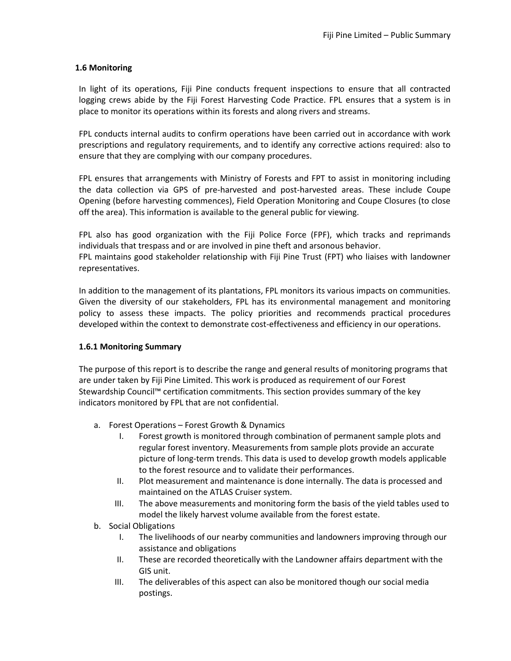# **1.6 Monitoring**

In light of its operations, Fiji Pine conducts frequent inspections to ensure that all contracted logging crews abide by the Fiji Forest Harvesting Code Practice. FPL ensures that a system is in place to monitor its operations within its forests and along rivers and streams.

FPL conducts internal audits to confirm operations have been carried out in accordance with work prescriptions and regulatory requirements, and to identify any corrective actions required: also to ensure that they are complying with our company procedures.

FPL ensures that arrangements with Ministry of Forests and FPT to assist in monitoring including the data collection via GPS of pre-harvested and post-harvested areas. These include Coupe Opening (before harvesting commences), Field Operation Monitoring and Coupe Closures (to close off the area). This information is available to the general public for viewing.

FPL also has good organization with the Fiji Police Force (FPF), which tracks and reprimands individuals that trespass and or are involved in pine theft and arsonous behavior.

FPL maintains good stakeholder relationship with Fiji Pine Trust (FPT) who liaises with landowner representatives.

In addition to the management of its plantations, FPL monitors its various impacts on communities. Given the diversity of our stakeholders, FPL has its environmental management and monitoring policy to assess these impacts. The policy priorities and recommends practical procedures developed within the context to demonstrate cost-effectiveness and efficiency in our operations.

# **1.6.1 Monitoring Summary**

The purpose of this report is to describe the range and general results of monitoring programs that are under taken by Fiji Pine Limited. This work is produced as requirement of our Forest Stewardship Council™ certification commitments. This section provides summary of the key indicators monitored by FPL that are not confidential.

- a. Forest Operations Forest Growth & Dynamics
	- I. Forest growth is monitored through combination of permanent sample plots and regular forest inventory. Measurements from sample plots provide an accurate picture of long-term trends. This data is used to develop growth models applicable to the forest resource and to validate their performances.
	- II. Plot measurement and maintenance is done internally. The data is processed and maintained on the ATLAS Cruiser system.
	- III. The above measurements and monitoring form the basis of the yield tables used to model the likely harvest volume available from the forest estate.
- b. Social Obligations
	- I. The livelihoods of our nearby communities and landowners improving through our assistance and obligations
	- II. These are recorded theoretically with the Landowner affairs department with the GIS unit.
	- III. The deliverables of this aspect can also be monitored though our social media postings.